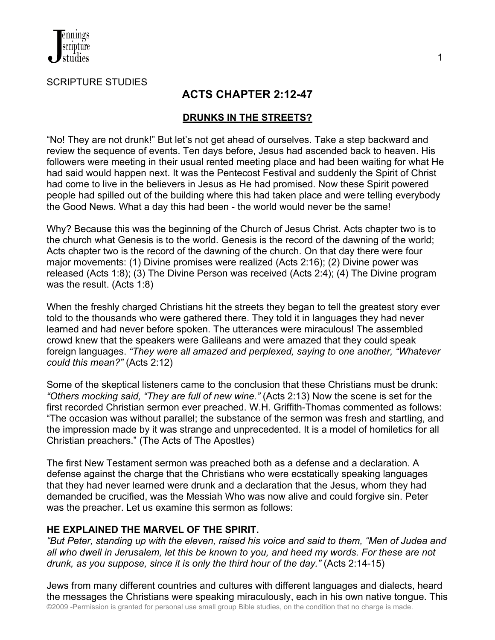

SCRIPTURE STUDIES

# **ACTS CHAPTER 2:12-47**

### **DRUNKS IN THE STREETS?**

"No! They are not drunk!" But let's not get ahead of ourselves. Take a step backward and review the sequence of events. Ten days before, Jesus had ascended back to heaven. His followers were meeting in their usual rented meeting place and had been waiting for what He had said would happen next. It was the Pentecost Festival and suddenly the Spirit of Christ had come to live in the believers in Jesus as He had promised. Now these Spirit powered people had spilled out of the building where this had taken place and were telling everybody the Good News. What a day this had been - the world would never be the same!

Why? Because this was the beginning of the Church of Jesus Christ. Acts chapter two is to the church what Genesis is to the world. Genesis is the record of the dawning of the world; Acts chapter two is the record of the dawning of the church. On that day there were four major movements: (1) Divine promises were realized (Acts 2:16); (2) Divine power was released (Acts 1:8); (3) The Divine Person was received (Acts 2:4); (4) The Divine program was the result. (Acts 1:8)

When the freshly charged Christians hit the streets they began to tell the greatest story ever told to the thousands who were gathered there. They told it in languages they had never learned and had never before spoken. The utterances were miraculous! The assembled crowd knew that the speakers were Galileans and were amazed that they could speak foreign languages. *"They were all amazed and perplexed, saying to one another, "Whatever could this mean?"* (Acts 2:12)

Some of the skeptical listeners came to the conclusion that these Christians must be drunk: *"Others mocking said, "They are full of new wine."* (Acts 2:13) Now the scene is set for the first recorded Christian sermon ever preached. W.H. Griffith-Thomas commented as follows: "The occasion was without parallel; the substance of the sermon was fresh and startling, and the impression made by it was strange and unprecedented. It is a model of homiletics for all Christian preachers." (The Acts of The Apostles)

The first New Testament sermon was preached both as a defense and a declaration. A defense against the charge that the Christians who were ecstatically speaking languages that they had never learned were drunk and a declaration that the Jesus, whom they had demanded be crucified, was the Messiah Who was now alive and could forgive sin. Peter was the preacher. Let us examine this sermon as follows:

### **HE EXPLAINED THE MARVEL OF THE SPIRIT.**

*"But Peter, standing up with the eleven, raised his voice and said to them, "Men of Judea and all who dwell in Jerusalem, let this be known to you, and heed my words. For these are not drunk, as you suppose, since it is only the third hour of the day."* (Acts 2:14-15)

©2009 -Permission is granted for personal use small group Bible studies, on the condition that no charge is made. Jews from many different countries and cultures with different languages and dialects, heard the messages the Christians were speaking miraculously, each in his own native tongue. This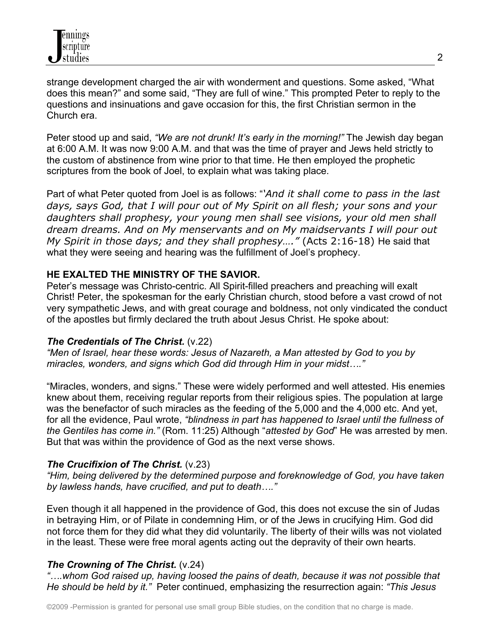strange development charged the air with wonderment and questions. Some asked, "What does this mean?" and some said, "They are full of wine." This prompted Peter to reply to the questions and insinuations and gave occasion for this, the first Christian sermon in the Church era.

Peter stood up and said, *"We are not drunk! It's early in the morning!"* The Jewish day began at 6:00 A.M. It was now 9:00 A.M. and that was the time of prayer and Jews held strictly to the custom of abstinence from wine prior to that time. He then employed the prophetic scriptures from the book of Joel, to explain what was taking place.

Part of what Peter quoted from Joel is as follows: "*'And it shall come to pass in the last days, says God, that I will pour out of My Spirit on all flesh; your sons and your daughters shall prophesy, your young men shall see visions, your old men shall dream dreams. And on My menservants and on My maidservants I will pour out My Spirit in those days; and they shall prophesy…."* (Acts 2:16-18) He said that what they were seeing and hearing was the fulfillment of Joel's prophecy.

## **HE EXALTED THE MINISTRY OF THE SAVIOR.**

Peter's message was Christo-centric. All Spirit-filled preachers and preaching will exalt Christ! Peter, the spokesman for the early Christian church, stood before a vast crowd of not very sympathetic Jews, and with great courage and boldness, not only vindicated the conduct of the apostles but firmly declared the truth about Jesus Christ. He spoke about:

### *The Credentials of The Christ.* (v.22)

*"Men of Israel, hear these words: Jesus of Nazareth, a Man attested by God to you by miracles, wonders, and signs which God did through Him in your midst…."*

"Miracles, wonders, and signs." These were widely performed and well attested. His enemies knew about them, receiving regular reports from their religious spies. The population at large was the benefactor of such miracles as the feeding of the 5,000 and the 4,000 etc. And yet, for all the evidence, Paul wrote, *"blindness in part has happened to Israel until the fullness of the Gentiles has come in."* (Rom. 11:25) Although "*attested by God*" He was arrested by men. But that was within the providence of God as the next verse shows.

### *The Crucifixion of The Christ.* (v.23)

*"Him, being delivered by the determined purpose and foreknowledge of God, you have taken by lawless hands, have crucified, and put to death…."* 

Even though it all happened in the providence of God, this does not excuse the sin of Judas in betraying Him, or of Pilate in condemning Him, or of the Jews in crucifying Him. God did not force them for they did what they did voluntarily. The liberty of their wills was not violated in the least. These were free moral agents acting out the depravity of their own hearts.

## *The Crowning of The Christ.* (v.24)

*"….whom God raised up, having loosed the pains of death, because it was not possible that He should be held by it."* Peter continued, emphasizing the resurrection again: *"This Jesus*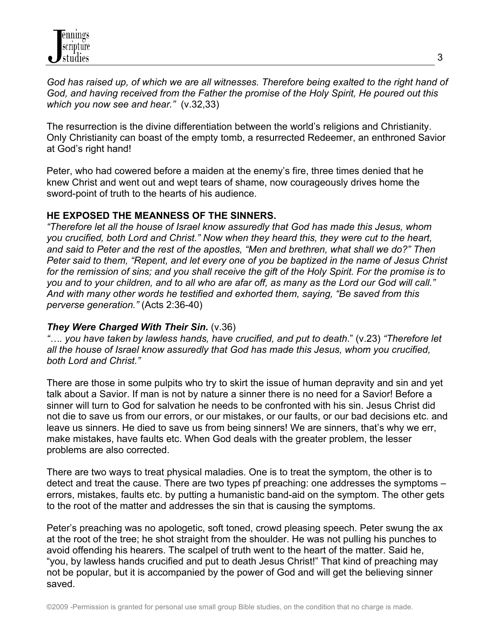*God has raised up, of which we are all witnesses. Therefore being exalted to the right hand of God, and having received from the Father the promise of the Holy Spirit, He poured out this which you now see and hear."* (v.32,33)

The resurrection is the divine differentiation between the world's religions and Christianity. Only Christianity can boast of the empty tomb, a resurrected Redeemer, an enthroned Savior at God's right hand!

Peter, who had cowered before a maiden at the enemy's fire, three times denied that he knew Christ and went out and wept tears of shame, now courageously drives home the sword-point of truth to the hearts of his audience.

#### **HE EXPOSED THE MEANNESS OF THE SINNERS.**

*"Therefore let all the house of Israel know assuredly that God has made this Jesus, whom you crucified, both Lord and Christ." Now when they heard this, they were cut to the heart, and said to Peter and the rest of the apostles, "Men and brethren, what shall we do?" Then Peter said to them, "Repent, and let every one of you be baptized in the name of Jesus Christ for the remission of sins; and you shall receive the gift of the Holy Spirit. For the promise is to you and to your children, and to all who are afar off, as many as the Lord our God will call." And with many other words he testified and exhorted them, saying, "Be saved from this perverse generation."* (Acts 2:36-40)

#### *They Were Charged With Their Sin.* (v.36)

*"…. you have taken by lawless hands, have crucified, and put to death*." (v.23) *"Therefore let all the house of Israel know assuredly that God has made this Jesus, whom you crucified, both Lord and Christ."*

There are those in some pulpits who try to skirt the issue of human depravity and sin and yet talk about a Savior. If man is not by nature a sinner there is no need for a Savior! Before a sinner will turn to God for salvation he needs to be confronted with his sin. Jesus Christ did not die to save us from our errors, or our mistakes, or our faults, or our bad decisions etc. and leave us sinners. He died to save us from being sinners! We are sinners, that's why we err, make mistakes, have faults etc. When God deals with the greater problem, the lesser problems are also corrected.

There are two ways to treat physical maladies. One is to treat the symptom, the other is to detect and treat the cause. There are two types pf preaching: one addresses the symptoms – errors, mistakes, faults etc. by putting a humanistic band-aid on the symptom. The other gets to the root of the matter and addresses the sin that is causing the symptoms.

Peter's preaching was no apologetic, soft toned, crowd pleasing speech. Peter swung the ax at the root of the tree; he shot straight from the shoulder. He was not pulling his punches to avoid offending his hearers. The scalpel of truth went to the heart of the matter. Said he, "you, by lawless hands crucified and put to death Jesus Christ!" That kind of preaching may not be popular, but it is accompanied by the power of God and will get the believing sinner saved.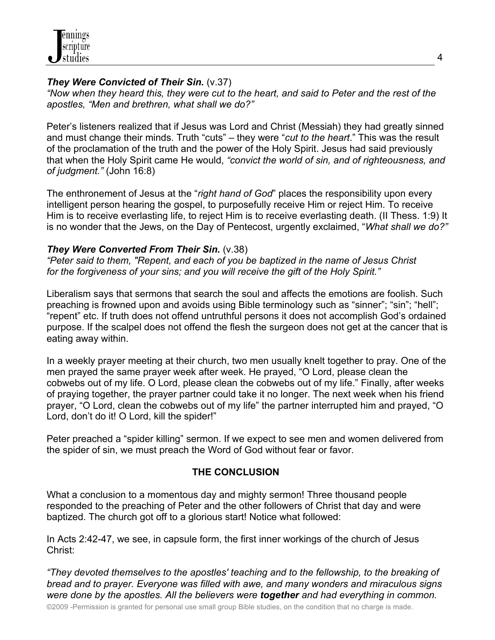## *They Were Convicted of Their Sin.* (v.37)

*"Now when they heard this, they were cut to the heart, and said to Peter and the rest of the apostles, "Men and brethren, what shall we do?"*

Peter's listeners realized that if Jesus was Lord and Christ (Messiah) they had greatly sinned and must change their minds. Truth "cuts" – they were "*cut to the heart*." This was the result of the proclamation of the truth and the power of the Holy Spirit. Jesus had said previously that when the Holy Spirit came He would, *"convict the world of sin, and of righteousness, and of judgment."* (John 16:8)

The enthronement of Jesus at the "*right hand of God*" places the responsibility upon every intelligent person hearing the gospel, to purposefully receive Him or reject Him. To receive Him is to receive everlasting life, to reject Him is to receive everlasting death. (II Thess. 1:9) It is no wonder that the Jews, on the Day of Pentecost, urgently exclaimed, "*What shall we do?"*

## *They Were Converted From Their Sin.* (v.38)

*"Peter said to them, "Repent, and each of you be baptized in the name of Jesus Christ for the forgiveness of your sins; and you will receive the gift of the Holy Spirit."*

Liberalism says that sermons that search the soul and affects the emotions are foolish. Such preaching is frowned upon and avoids using Bible terminology such as "sinner"; "sin"; "hell"; "repent" etc. If truth does not offend untruthful persons it does not accomplish God's ordained purpose. If the scalpel does not offend the flesh the surgeon does not get at the cancer that is eating away within.

In a weekly prayer meeting at their church, two men usually knelt together to pray. One of the men prayed the same prayer week after week. He prayed, "O Lord, please clean the cobwebs out of my life. O Lord, please clean the cobwebs out of my life." Finally, after weeks of praying together, the prayer partner could take it no longer. The next week when his friend prayer, "O Lord, clean the cobwebs out of my life" the partner interrupted him and prayed, "O Lord, don't do it! O Lord, kill the spider!"

Peter preached a "spider killing" sermon. If we expect to see men and women delivered from the spider of sin, we must preach the Word of God without fear or favor.

## **THE CONCLUSION**

What a conclusion to a momentous day and mighty sermon! Three thousand people responded to the preaching of Peter and the other followers of Christ that day and were baptized. The church got off to a glorious start! Notice what followed:

In Acts 2:42-47, we see, in capsule form, the first inner workings of the church of Jesus Christ:

*"They devoted themselves to the apostles' teaching and to the fellowship, to the breaking of bread and to prayer. Everyone was filled with awe, and many wonders and miraculous signs were done by the apostles. All the believers were together and had everything in common.* 

©2009 -Permission is granted for personal use small group Bible studies, on the condition that no charge is made.